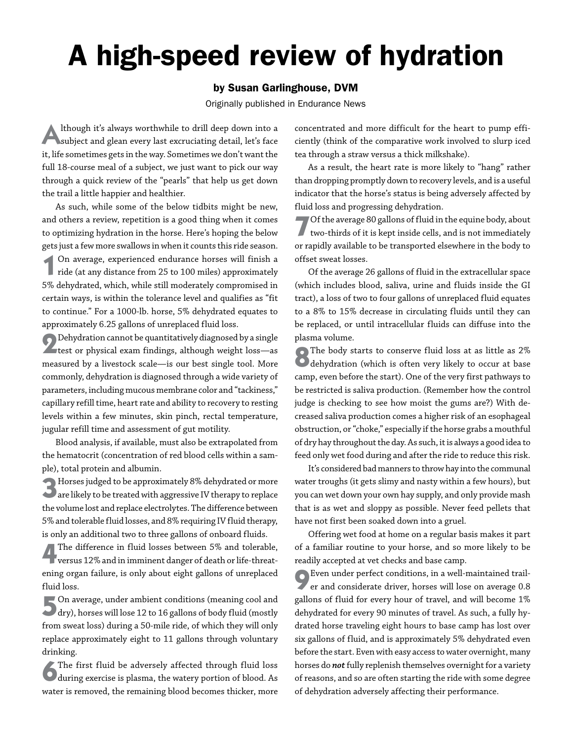## A high-speed review of hydration

## by Susan Garlinghouse, DVM

Originally published in Endurance News

Although it's always worthwhile to drill deep down into a subject and glean every last excruciating detail, let's face it, life sometimes gets in the way. Sometimes we don't want the full 18-course meal of a subject, we just want to pick our way through a quick review of the "pearls" that help us get down the trail a little happier and healthier.

As such, while some of the below tidbits might be new, and others a review, repetition is a good thing when it comes to optimizing hydration in the horse. Here's hoping the below gets just a few more swallows in when it counts this ride season.

**1**On average, experienced endurance horses will finish a ride (at any distance from 25 to 100 miles) approximately 5% dehydrated, which, while still moderately compromised in certain ways, is within the tolerance level and qualifies as "fit to continue." For a 1000-lb. horse, 5% dehydrated equates to approximately 6.25 gallons of unreplaced fluid loss.

**2**Dehydration cannot be quantitatively diagnosed by a single **The Left of physical exam findings, although weight loss**—as measured by a livestock scale—is our best single tool. More commonly, dehydration is diagnosed through a wide variety of parameters, including mucous membrane color and "tackiness," capillary refill time, heart rate and ability to recovery to resting levels within a few minutes, skin pinch, rectal temperature, jugular refill time and assessment of gut motility.

Blood analysis, if available, must also be extrapolated from the hematocrit (concentration of red blood cells within a sample), total protein and albumin.

**3**Horses judged to be approximately 8% dehydrated or more are likely to be treated with aggressive IV therapy to replace the volume lost and replace electrolytes. The difference between 5% and tolerable fluid losses, and 8% requiring IV fluid therapy, is only an additional two to three gallons of onboard fluids.

**4**The difference in fluid losses between 5% and tolerable, versus 12% and in imminent danger of death or life-threatening organ failure, is only about eight gallons of unreplaced fluid loss.

**5**On average, under ambient conditions (meaning cool and dry), horses will lose 12 to 16 gallons of body fluid (mostly from sweat loss) during a 50-mile ride, of which they will only replace approximately eight to 11 gallons through voluntary drinking.

The first fluid be adversely affected through fluid loss during exercise is plasma, the watery portion of blood. As water is removed, the remaining blood becomes thicker, more

concentrated and more difficult for the heart to pump efficiently (think of the comparative work involved to slurp iced tea through a straw versus a thick milkshake).

As a result, the heart rate is more likely to "hang" rather than dropping promptly down to recovery levels, and is a useful indicator that the horse's status is being adversely affected by fluid loss and progressing dehydration.

**7**Of the average 80 gallons of fluid in the equine body, about two-thirds of it is kept inside cells, and is not immediately or rapidly available to be transported elsewhere in the body to offset sweat losses.

Of the average 26 gallons of fluid in the extracellular space (which includes blood, saliva, urine and fluids inside the GI tract), a loss of two to four gallons of unreplaced fluid equates to a 8% to 15% decrease in circulating fluids until they can be replaced, or until intracellular fluids can diffuse into the plasma volume.

**8**The body starts to conserve fluid loss at as little as 2% **O** dehydration (which is often very likely to occur at base camp, even before the start). One of the very first pathways to be restricted is saliva production. (Remember how the control judge is checking to see how moist the gums are?) With decreased saliva production comes a higher risk of an esophageal obstruction, or "choke," especially if the horse grabs a mouthful of dry hay throughout the day. As such, it is always a good idea to feed only wet food during and after the ride to reduce this risk.

It's considered bad manners to throw hay into the communal water troughs (it gets slimy and nasty within a few hours), but you can wet down your own hay supply, and only provide mash that is as wet and sloppy as possible. Never feed pellets that have not first been soaked down into a gruel.

Offering wet food at home on a regular basis makes it part of a familiar routine to your horse, and so more likely to be readily accepted at vet checks and base camp.

**9**Even under perfect conditions, in a well-maintained trailer and considerate driver, horses will lose on average 0.8 gallons of fluid for every hour of travel, and will become 1% dehydrated for every 90 minutes of travel. As such, a fully hydrated horse traveling eight hours to base camp has lost over six gallons of fluid, and is approximately 5% dehydrated even before the start. Even with easy access to water overnight, many horses do *not* fully replenish themselves overnight for a variety of reasons, and so are often starting the ride with some degree of dehydration adversely affecting their performance.